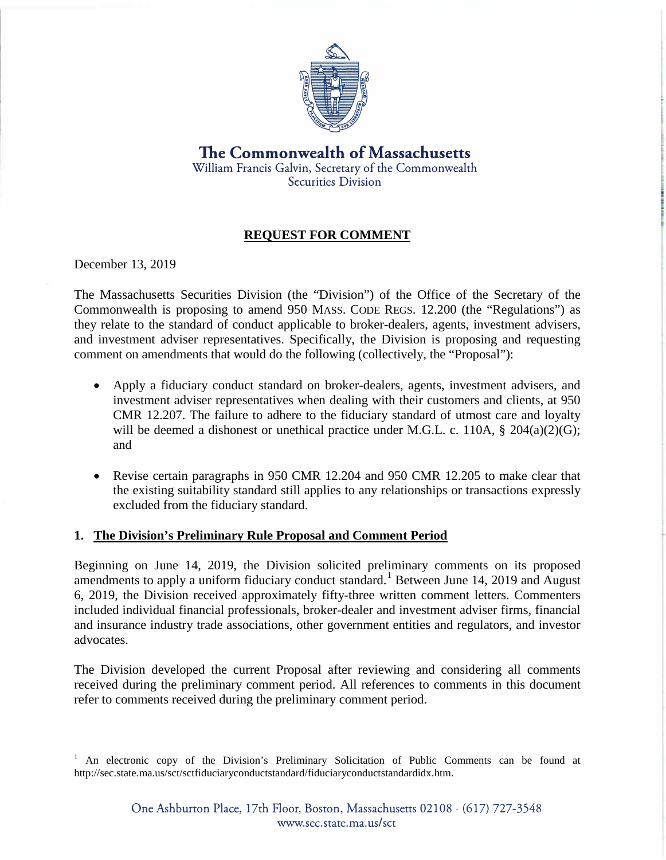

**The Commonwealth of Massachusetts**  William Francis Galvin, Secretary of the Commonwealth Securities Division

# **REQUEST FOR COMMENT**

December 13, 2019

The Massachusetts Securities Division (the "Division") of the Office of the Secretary of the Commonwealth is proposing to amend 950 MASS. CODE REGS. 12.200 (the "Regulations") as they relate to the standard of conduct applicable to broker-dealers, agents, investment advisers, and investment adviser representatives. Specifically, the Division is proposing and requesting comment on amendments that would do the following (collectively, the "Proposal"):

- Apply a fiduciary conduct standard on broker-dealers, agents, investment advisers, and investment adviser representatives when dealing with their customers and clients, at 950 CMR 12.207. The failure to adhere to the fiduciary standard of utmost care and loyalty will be deemed a dishonest or unethical practice under M.G.L. c. 110A, § 204(a)(2)(G); and
- Revise certain paragraphs in 950 CMR 12.204 and 950 CMR 12.205 to make clear that the existing suitability standard still applies to any relationships or transactions expressly excluded from the fiduciary standard.

#### **1. The Division's Preliminary Rule Proposal and Comment Period**

Beginning on June 14, 2019, the Division solicited preliminary comments on its proposed amendments to apply a uniform fiduciary conduct standard.<sup>1</sup> Between June 14, 2019 and August 6, 2019, the Division received approximately fifty-three written comment letters. Commenters included individual financial professionals, broker-dealer and investment adviser firms, financial and insurance industry trade associations, other government entities and regulators, and investor advocates.

The Division developed the current Proposal after reviewing and considering all comments received during the preliminary comment period. All references to comments in this document refer to comments received during the preliminary comment period.

<sup>&</sup>lt;sup>1</sup> An electronic copy of the Division's Preliminary Solicitation of Public Comments can be found at http://sec.state.ma.us/sct/sctfiduciaryconductstandard/fiduciaryconductstandardidx.htm.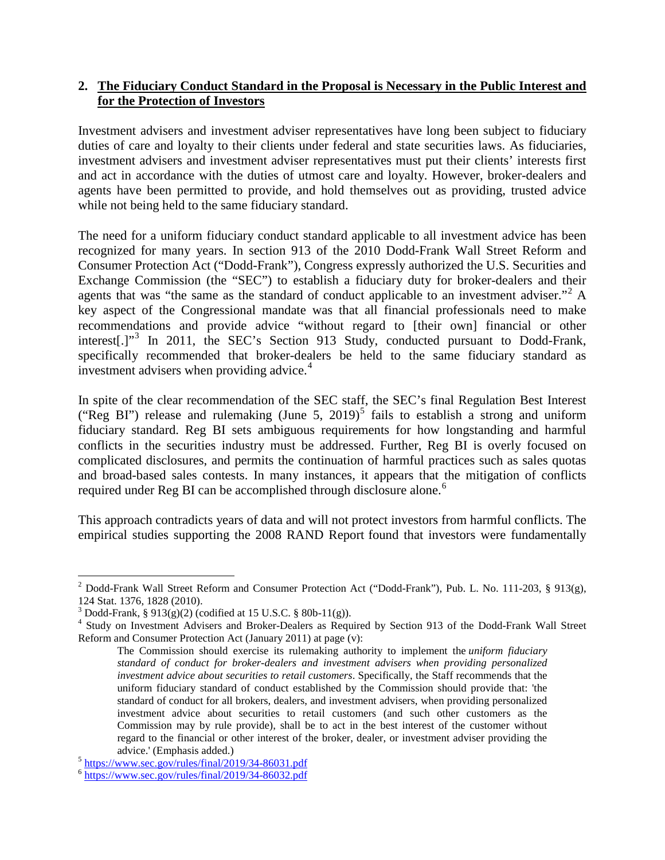### **2. The Fiduciary Conduct Standard in the Proposal is Necessary in the Public Interest and for the Protection of Investors**

Investment advisers and investment adviser representatives have long been subject to fiduciary duties of care and loyalty to their clients under federal and state securities laws. As fiduciaries, investment advisers and investment adviser representatives must put their clients' interests first and act in accordance with the duties of utmost care and loyalty. However, broker-dealers and agents have been permitted to provide, and hold themselves out as providing, trusted advice while not being held to the same fiduciary standard.

The need for a uniform fiduciary conduct standard applicable to all investment advice has been recognized for many years. In section 913 of the 2010 Dodd-Frank Wall Street Reform and Consumer Protection Act ("Dodd-Frank"), Congress expressly authorized the U.S. Securities and Exchange Commission (the "SEC") to establish a fiduciary duty for broker-dealers and their agents that was "the same as the standard of conduct applicable to an investment adviser."<sup>[2](#page-1-0)</sup> A key aspect of the Congressional mandate was that all financial professionals need to make recommendations and provide advice "without regard to [their own] financial or other interest[.]"<sup>[3](#page-1-1)</sup> In 2011, the SEC's Section 913 Study, conducted pursuant to Dodd-Frank, specifically recommended that broker-dealers be held to the same fiduciary standard as investment advisers when providing advice.<sup>[4](#page-1-2)</sup>

In spite of the clear recommendation of the SEC staff, the SEC's final Regulation Best Interest ("Reg BI") release and rulemaking (June [5](#page-1-3), 2019)<sup>5</sup> fails to establish a strong and uniform fiduciary standard. Reg BI sets ambiguous requirements for how longstanding and harmful conflicts in the securities industry must be addressed. Further, Reg BI is overly focused on complicated disclosures, and permits the continuation of harmful practices such as sales quotas and broad-based sales contests. In many instances, it appears that the mitigation of conflicts required under Reg BI can be accomplished through disclosure alone.<sup>[6](#page-1-4)</sup>

This approach contradicts years of data and will not protect investors from harmful conflicts. The empirical studies supporting the 2008 RAND Report found that investors were fundamentally

<span id="page-1-0"></span><sup>&</sup>lt;sup>2</sup> Dodd-Frank Wall Street Reform and Consumer Protection Act ("Dodd-Frank"), Pub. L. No. 111-203, § 913(g), 124 Stat. 1376, 1828 (2010).<br><sup>3</sup> Dodd-Frank, § 913(g)(2) (codified at 15 U.S.C. § 80b-11(g)).

<span id="page-1-2"></span><span id="page-1-1"></span><sup>&</sup>lt;sup>4</sup> Study on Investment Advisers and Broker-Dealers as Required by Section 913 of the Dodd-Frank Wall Street Reform and Consumer Protection Act (January 2011) at page (v):

The Commission should exercise its rulemaking authority to implement the *uniform fiduciary standard of conduct for broker-dealers and investment advisers when providing personalized investment advice about securities to retail customers*. Specifically, the Staff recommends that the uniform fiduciary standard of conduct established by the Commission should provide that: 'the standard of conduct for all brokers, dealers, and investment advisers, when providing personalized investment advice about securities to retail customers (and such other customers as the Commission may by rule provide), shall be to act in the best interest of the customer without regard to the financial or other interest of the broker, dealer, or investment adviser providing the

advice.' (Emphasis added.)<br><sup>5</sup> <https://www.sec.gov/rules/final/2019/34-86031.pdf><br><sup>6</sup> <https://www.sec.gov/rules/final/2019/34-86032.pdf>

<span id="page-1-4"></span><span id="page-1-3"></span>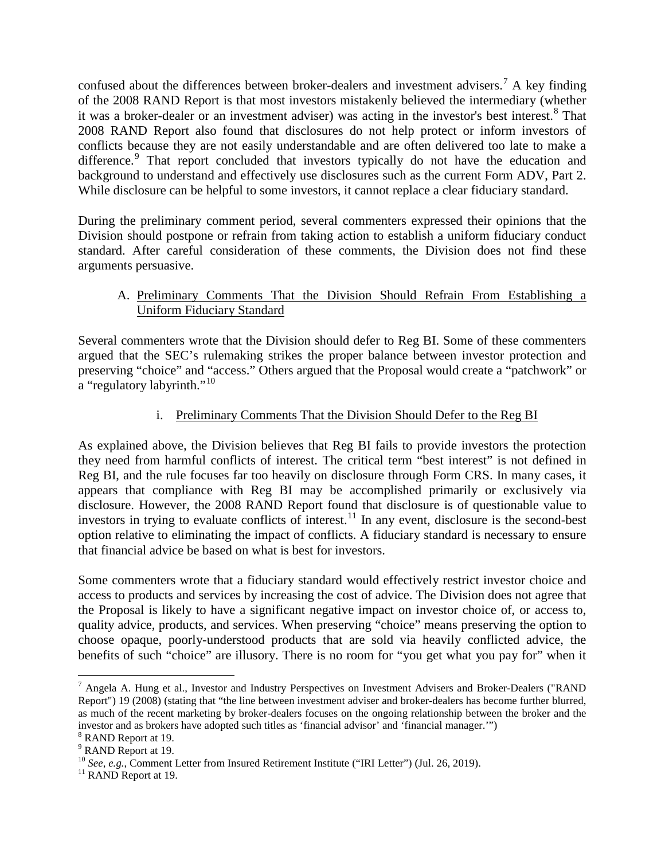confused about the differences between broker-dealers and investment advisers.<sup>[7](#page-2-0)</sup> A key finding of the 2008 RAND Report is that most investors mistakenly believed the intermediary (whether it was a broker-dealer or an investment adviser) was acting in the investor's best interest.<sup>[8](#page-2-1)</sup> That 2008 RAND Report also found that disclosures do not help protect or inform investors of conflicts because they are not easily understandable and are often delivered too late to make a difference.<sup>[9](#page-2-2)</sup> That report concluded that investors typically do not have the education and background to understand and effectively use disclosures such as the current Form ADV, Part 2. While disclosure can be helpful to some investors, it cannot replace a clear fiduciary standard.

During the preliminary comment period, several commenters expressed their opinions that the Division should postpone or refrain from taking action to establish a uniform fiduciary conduct standard. After careful consideration of these comments, the Division does not find these arguments persuasive.

## A. Preliminary Comments That the Division Should Refrain From Establishing a Uniform Fiduciary Standard

Several commenters wrote that the Division should defer to Reg BI. Some of these commenters argued that the SEC's rulemaking strikes the proper balance between investor protection and preserving "choice" and "access." Others argued that the Proposal would create a "patchwork" or  $\alpha$  "regulatory labyrinth."<sup>[10](#page-2-3)</sup>

# i. Preliminary Comments That the Division Should Defer to the Reg BI

As explained above, the Division believes that Reg BI fails to provide investors the protection they need from harmful conflicts of interest. The critical term "best interest" is not defined in Reg BI, and the rule focuses far too heavily on disclosure through Form CRS. In many cases, it appears that compliance with Reg BI may be accomplished primarily or exclusively via disclosure. However, the 2008 RAND Report found that disclosure is of questionable value to investors in trying to evaluate conflicts of interest.<sup>[11](#page-2-4)</sup> In any event, disclosure is the second-best option relative to eliminating the impact of conflicts. A fiduciary standard is necessary to ensure that financial advice be based on what is best for investors.

Some commenters wrote that a fiduciary standard would effectively restrict investor choice and access to products and services by increasing the cost of advice. The Division does not agree that the Proposal is likely to have a significant negative impact on investor choice of, or access to, quality advice, products, and services. When preserving "choice" means preserving the option to choose opaque, poorly-understood products that are sold via heavily conflicted advice, the benefits of such "choice" are illusory. There is no room for "you get what you pay for" when it

<span id="page-2-0"></span> $^7$  Angela A. Hung et al., Investor and Industry Perspectives on Investment Advisers and Broker-Dealers ("RAND Report") 19 (2008) (stating that "the line between investment adviser and broker-dealers has become further blurred, as much of the recent marketing by broker-dealers focuses on the ongoing relationship between the broker and the investor and as brokers have adopted such titles as 'financial advisor' and 'financial manager.'") <sup>8</sup> RAND Report at 19.

<span id="page-2-2"></span><span id="page-2-1"></span><sup>&</sup>lt;sup>9</sup> RAND Report at 19.

<span id="page-2-3"></span><sup>&</sup>lt;sup>10</sup> *See*, *e.g.*, Comment Letter from Insured Retirement Institute ("IRI Letter") (Jul. 26, 2019).<br><sup>11</sup> RAND Report at 19.

<span id="page-2-4"></span>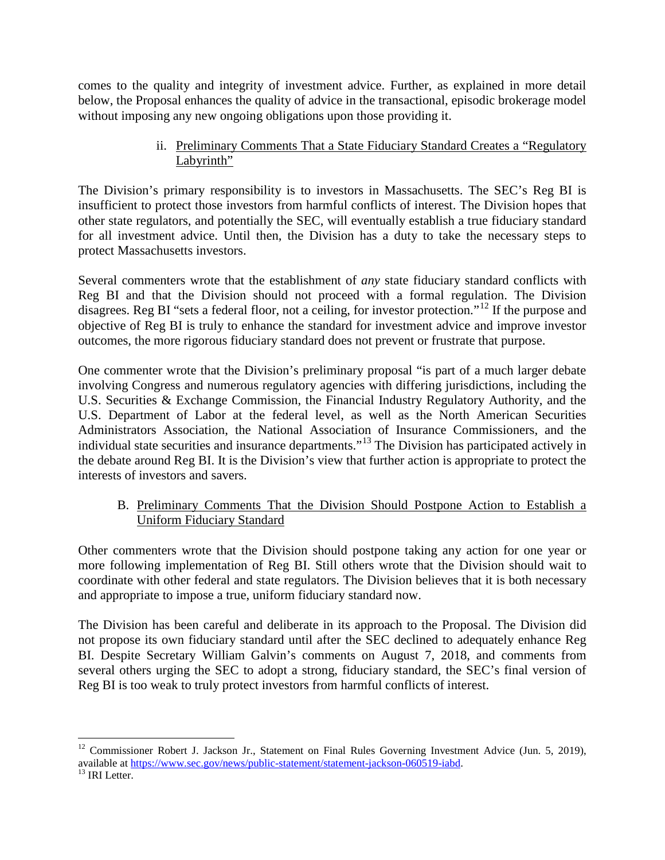comes to the quality and integrity of investment advice. Further, as explained in more detail below, the Proposal enhances the quality of advice in the transactional, episodic brokerage model without imposing any new ongoing obligations upon those providing it.

## ii. Preliminary Comments That a State Fiduciary Standard Creates a "Regulatory Labyrinth"

The Division's primary responsibility is to investors in Massachusetts. The SEC's Reg BI is insufficient to protect those investors from harmful conflicts of interest. The Division hopes that other state regulators, and potentially the SEC, will eventually establish a true fiduciary standard for all investment advice. Until then, the Division has a duty to take the necessary steps to protect Massachusetts investors.

Several commenters wrote that the establishment of *any* state fiduciary standard conflicts with Reg BI and that the Division should not proceed with a formal regulation. The Division disagrees. Reg BI "sets a federal floor, not a ceiling, for investor protection."[12](#page-3-0) If the purpose and objective of Reg BI is truly to enhance the standard for investment advice and improve investor outcomes, the more rigorous fiduciary standard does not prevent or frustrate that purpose.

One commenter wrote that the Division's preliminary proposal "is part of a much larger debate involving Congress and numerous regulatory agencies with differing jurisdictions, including the U.S. Securities & Exchange Commission, the Financial Industry Regulatory Authority, and the U.S. Department of Labor at the federal level, as well as the North American Securities Administrators Association, the National Association of Insurance Commissioners, and the individual state securities and insurance departments."[13](#page-3-1) The Division has participated actively in the debate around Reg BI. It is the Division's view that further action is appropriate to protect the interests of investors and savers.

# B. Preliminary Comments That the Division Should Postpone Action to Establish a Uniform Fiduciary Standard

Other commenters wrote that the Division should postpone taking any action for one year or more following implementation of Reg BI. Still others wrote that the Division should wait to coordinate with other federal and state regulators. The Division believes that it is both necessary and appropriate to impose a true, uniform fiduciary standard now.

The Division has been careful and deliberate in its approach to the Proposal. The Division did not propose its own fiduciary standard until after the SEC declined to adequately enhance Reg BI. Despite Secretary William Galvin's comments on August 7, 2018, and comments from several others urging the SEC to adopt a strong, fiduciary standard, the SEC's final version of Reg BI is too weak to truly protect investors from harmful conflicts of interest.

<span id="page-3-0"></span><sup>&</sup>lt;sup>12</sup> Commissioner Robert J. Jackson Jr., Statement on Final Rules Governing Investment Advice (Jun. 5, 2019), available at [https://www.sec.gov/news/public-statement/statement-jackson-060519-iabd.](https://www.sec.gov/news/public-statement/statement-jackson-060519-iabd)<br><sup>13</sup> IRI Letter.

<span id="page-3-1"></span>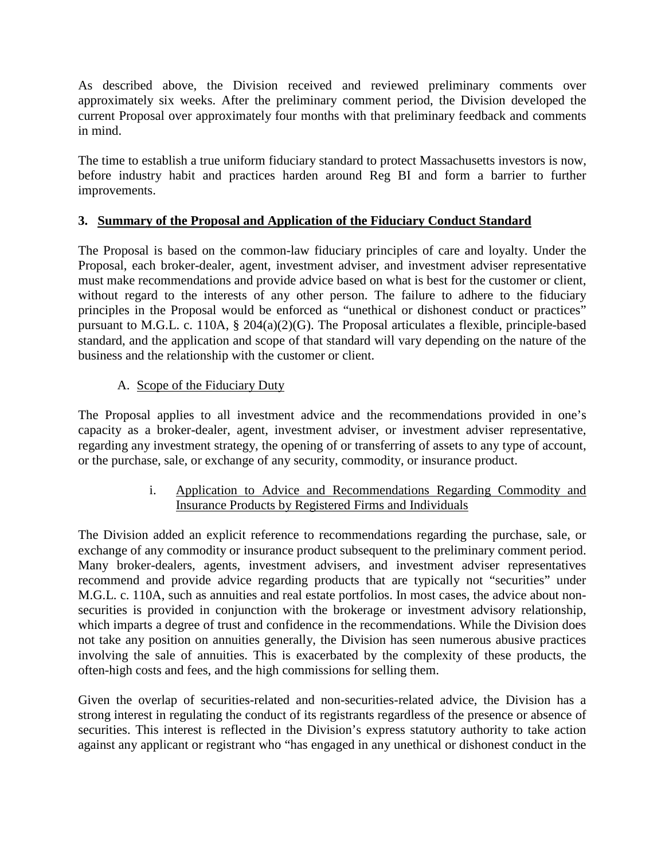As described above, the Division received and reviewed preliminary comments over approximately six weeks. After the preliminary comment period, the Division developed the current Proposal over approximately four months with that preliminary feedback and comments in mind.

The time to establish a true uniform fiduciary standard to protect Massachusetts investors is now, before industry habit and practices harden around Reg BI and form a barrier to further improvements.

# **3. Summary of the Proposal and Application of the Fiduciary Conduct Standard**

The Proposal is based on the common-law fiduciary principles of care and loyalty. Under the Proposal, each broker-dealer, agent, investment adviser, and investment adviser representative must make recommendations and provide advice based on what is best for the customer or client, without regard to the interests of any other person. The failure to adhere to the fiduciary principles in the Proposal would be enforced as "unethical or dishonest conduct or practices" pursuant to M.G.L. c. 110A, § 204(a)(2)(G). The Proposal articulates a flexible, principle-based standard, and the application and scope of that standard will vary depending on the nature of the business and the relationship with the customer or client.

# A. Scope of the Fiduciary Duty

The Proposal applies to all investment advice and the recommendations provided in one's capacity as a broker-dealer, agent, investment adviser, or investment adviser representative, regarding any investment strategy, the opening of or transferring of assets to any type of account, or the purchase, sale, or exchange of any security, commodity, or insurance product.

## i. Application to Advice and Recommendations Regarding Commodity and Insurance Products by Registered Firms and Individuals

The Division added an explicit reference to recommendations regarding the purchase, sale, or exchange of any commodity or insurance product subsequent to the preliminary comment period. Many broker-dealers, agents, investment advisers, and investment adviser representatives recommend and provide advice regarding products that are typically not "securities" under M.G.L. c. 110A, such as annuities and real estate portfolios. In most cases, the advice about nonsecurities is provided in conjunction with the brokerage or investment advisory relationship, which imparts a degree of trust and confidence in the recommendations. While the Division does not take any position on annuities generally, the Division has seen numerous abusive practices involving the sale of annuities. This is exacerbated by the complexity of these products, the often-high costs and fees, and the high commissions for selling them.

Given the overlap of securities-related and non-securities-related advice, the Division has a strong interest in regulating the conduct of its registrants regardless of the presence or absence of securities. This interest is reflected in the Division's express statutory authority to take action against any applicant or registrant who "has engaged in any unethical or dishonest conduct in the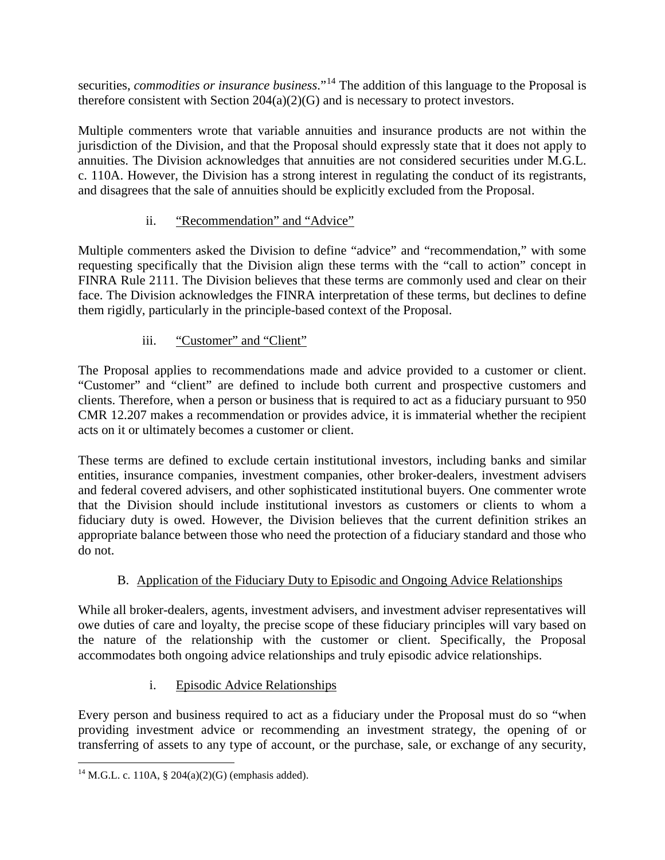securities, *commodities or insurance business*."<sup>[14](#page-5-0)</sup> The addition of this language to the Proposal is therefore consistent with Section 204(a)(2)(G) and is necessary to protect investors.

Multiple commenters wrote that variable annuities and insurance products are not within the jurisdiction of the Division, and that the Proposal should expressly state that it does not apply to annuities. The Division acknowledges that annuities are not considered securities under M.G.L. c. 110A. However, the Division has a strong interest in regulating the conduct of its registrants, and disagrees that the sale of annuities should be explicitly excluded from the Proposal.

# ii. "Recommendation" and "Advice"

Multiple commenters asked the Division to define "advice" and "recommendation," with some requesting specifically that the Division align these terms with the "call to action" concept in FINRA Rule 2111. The Division believes that these terms are commonly used and clear on their face. The Division acknowledges the FINRA interpretation of these terms, but declines to define them rigidly, particularly in the principle-based context of the Proposal.

# iii. "Customer" and "Client"

The Proposal applies to recommendations made and advice provided to a customer or client. "Customer" and "client" are defined to include both current and prospective customers and clients. Therefore, when a person or business that is required to act as a fiduciary pursuant to 950 CMR 12.207 makes a recommendation or provides advice, it is immaterial whether the recipient acts on it or ultimately becomes a customer or client.

These terms are defined to exclude certain institutional investors, including banks and similar entities, insurance companies, investment companies, other broker-dealers, investment advisers and federal covered advisers, and other sophisticated institutional buyers. One commenter wrote that the Division should include institutional investors as customers or clients to whom a fiduciary duty is owed. However, the Division believes that the current definition strikes an appropriate balance between those who need the protection of a fiduciary standard and those who do not.

# B. Application of the Fiduciary Duty to Episodic and Ongoing Advice Relationships

While all broker-dealers, agents, investment advisers, and investment adviser representatives will owe duties of care and loyalty, the precise scope of these fiduciary principles will vary based on the nature of the relationship with the customer or client. Specifically, the Proposal accommodates both ongoing advice relationships and truly episodic advice relationships.

# i. Episodic Advice Relationships

Every person and business required to act as a fiduciary under the Proposal must do so "when providing investment advice or recommending an investment strategy, the opening of or transferring of assets to any type of account, or the purchase, sale, or exchange of any security,

<span id="page-5-0"></span><sup>&</sup>lt;sup>14</sup> M.G.L. c. 110A, § 204(a)(2)(G) (emphasis added).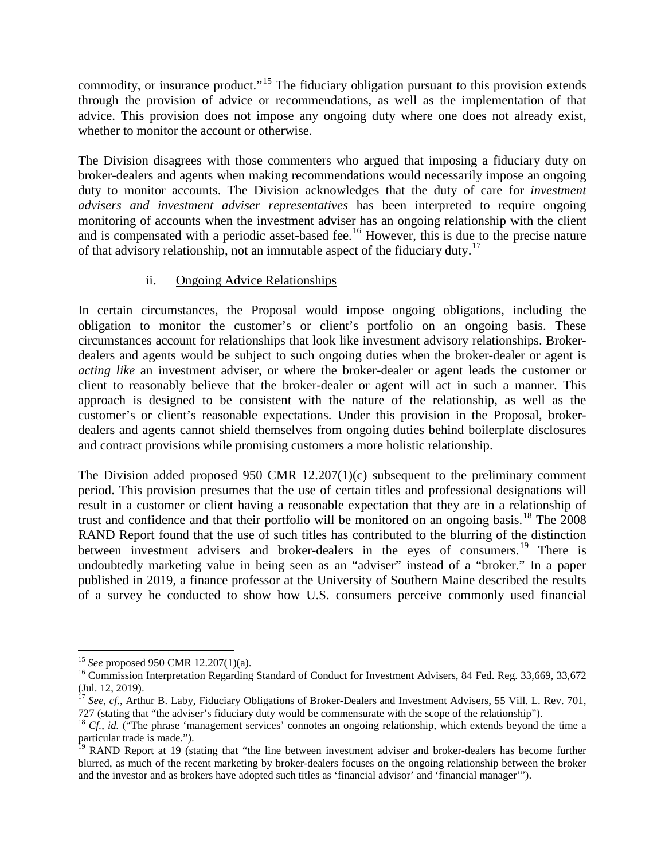commodity, or insurance product."<sup>[15](#page-6-0)</sup> The fiduciary obligation pursuant to this provision extends through the provision of advice or recommendations, as well as the implementation of that advice. This provision does not impose any ongoing duty where one does not already exist, whether to monitor the account or otherwise.

The Division disagrees with those commenters who argued that imposing a fiduciary duty on broker-dealers and agents when making recommendations would necessarily impose an ongoing duty to monitor accounts. The Division acknowledges that the duty of care for *investment advisers and investment adviser representatives* has been interpreted to require ongoing monitoring of accounts when the investment adviser has an ongoing relationship with the client and is compensated with a periodic asset-based fee.<sup>[16](#page-6-1)</sup> However, this is due to the precise nature of that advisory relationship, not an immutable aspect of the fiduciary duty.[17](#page-6-2)

#### ii. Ongoing Advice Relationships

In certain circumstances, the Proposal would impose ongoing obligations, including the obligation to monitor the customer's or client's portfolio on an ongoing basis. These circumstances account for relationships that look like investment advisory relationships. Brokerdealers and agents would be subject to such ongoing duties when the broker-dealer or agent is *acting like* an investment adviser, or where the broker-dealer or agent leads the customer or client to reasonably believe that the broker-dealer or agent will act in such a manner. This approach is designed to be consistent with the nature of the relationship, as well as the customer's or client's reasonable expectations. Under this provision in the Proposal, brokerdealers and agents cannot shield themselves from ongoing duties behind boilerplate disclosures and contract provisions while promising customers a more holistic relationship.

The Division added proposed 950 CMR 12.207(1)(c) subsequent to the preliminary comment period. This provision presumes that the use of certain titles and professional designations will result in a customer or client having a reasonable expectation that they are in a relationship of trust and confidence and that their portfolio will be monitored on an ongoing basis.<sup>[18](#page-6-3)</sup> The 2008 RAND Report found that the use of such titles has contributed to the blurring of the distinction between investment advisers and broker-dealers in the eyes of consumers.<sup>[19](#page-6-4)</sup> There is undoubtedly marketing value in being seen as an "adviser" instead of a "broker." In a paper published in 2019, a finance professor at the University of Southern Maine described the results of a survey he conducted to show how U.S. consumers perceive commonly used financial

<span id="page-6-1"></span><span id="page-6-0"></span><sup>&</sup>lt;sup>15</sup> *See* proposed 950 CMR 12.207(1)(a).<br><sup>16</sup> Commission Interpretation Regarding Standard of Conduct for Investment Advisers, 84 Fed. Reg. 33,669, 33,672<br>(Jul. 12, 2019).

<span id="page-6-2"></span><sup>&</sup>lt;sup>17</sup> *See*, *cf.*, Arthur B. Laby, Fiduciary Obligations of Broker-Dealers and Investment Advisers, 55 Vill. L. Rev. 701, 727 (stating that "the adviser's fiduciary duty would be commensurate with the scope of the relatio

<span id="page-6-3"></span> $18$  Cf., id. ("The phrase 'management services' connotes an ongoing relationship, which extends beyond the time a particular trade is made.").

<span id="page-6-4"></span><sup>&</sup>lt;sup>19</sup> RAND Report at 19 (stating that "the line between investment adviser and broker-dealers has become further blurred, as much of the recent marketing by broker-dealers focuses on the ongoing relationship between the broker and the investor and as brokers have adopted such titles as 'financial advisor' and 'financial manager'").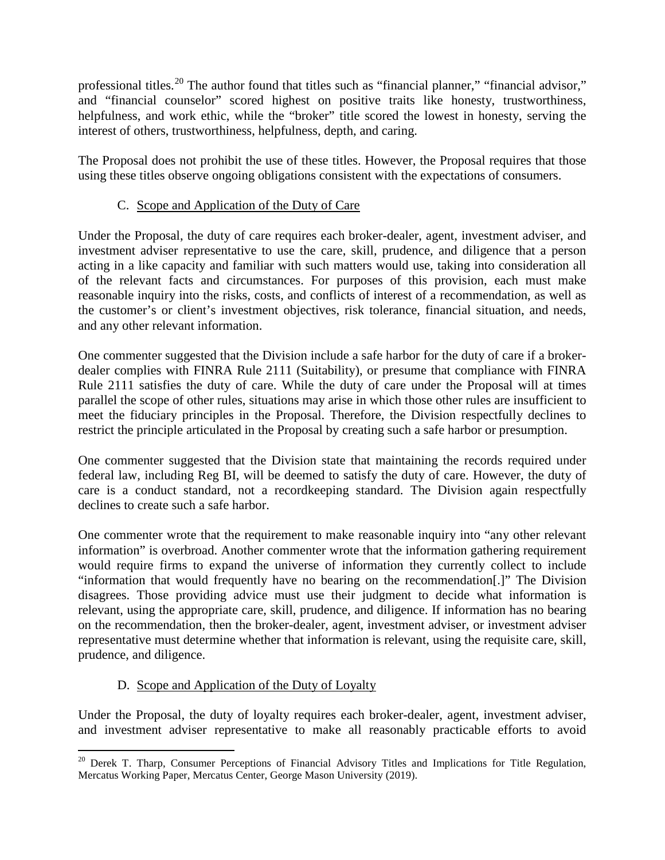professional titles.<sup>[20](#page-7-0)</sup> The author found that titles such as "financial planner," "financial advisor," and "financial counselor" scored highest on positive traits like honesty, trustworthiness, helpfulness, and work ethic, while the "broker" title scored the lowest in honesty, serving the interest of others, trustworthiness, helpfulness, depth, and caring.

The Proposal does not prohibit the use of these titles. However, the Proposal requires that those using these titles observe ongoing obligations consistent with the expectations of consumers.

# C. Scope and Application of the Duty of Care

Under the Proposal, the duty of care requires each broker-dealer, agent, investment adviser, and investment adviser representative to use the care, skill, prudence, and diligence that a person acting in a like capacity and familiar with such matters would use, taking into consideration all of the relevant facts and circumstances. For purposes of this provision, each must make reasonable inquiry into the risks, costs, and conflicts of interest of a recommendation, as well as the customer's or client's investment objectives, risk tolerance, financial situation, and needs, and any other relevant information.

One commenter suggested that the Division include a safe harbor for the duty of care if a brokerdealer complies with FINRA Rule 2111 (Suitability), or presume that compliance with FINRA Rule 2111 satisfies the duty of care. While the duty of care under the Proposal will at times parallel the scope of other rules, situations may arise in which those other rules are insufficient to meet the fiduciary principles in the Proposal. Therefore, the Division respectfully declines to restrict the principle articulated in the Proposal by creating such a safe harbor or presumption.

One commenter suggested that the Division state that maintaining the records required under federal law, including Reg BI, will be deemed to satisfy the duty of care. However, the duty of care is a conduct standard, not a recordkeeping standard. The Division again respectfully declines to create such a safe harbor.

One commenter wrote that the requirement to make reasonable inquiry into "any other relevant information" is overbroad. Another commenter wrote that the information gathering requirement would require firms to expand the universe of information they currently collect to include "information that would frequently have no bearing on the recommendation[.]" The Division disagrees. Those providing advice must use their judgment to decide what information is relevant, using the appropriate care, skill, prudence, and diligence. If information has no bearing on the recommendation, then the broker-dealer, agent, investment adviser, or investment adviser representative must determine whether that information is relevant, using the requisite care, skill, prudence, and diligence.

## D. Scope and Application of the Duty of Loyalty

Under the Proposal, the duty of loyalty requires each broker-dealer, agent, investment adviser, and investment adviser representative to make all reasonably practicable efforts to avoid

<span id="page-7-0"></span><sup>&</sup>lt;sup>20</sup> Derek T. Tharp, Consumer Perceptions of Financial Advisory Titles and Implications for Title Regulation, Mercatus Working Paper, Mercatus Center, George Mason University (2019).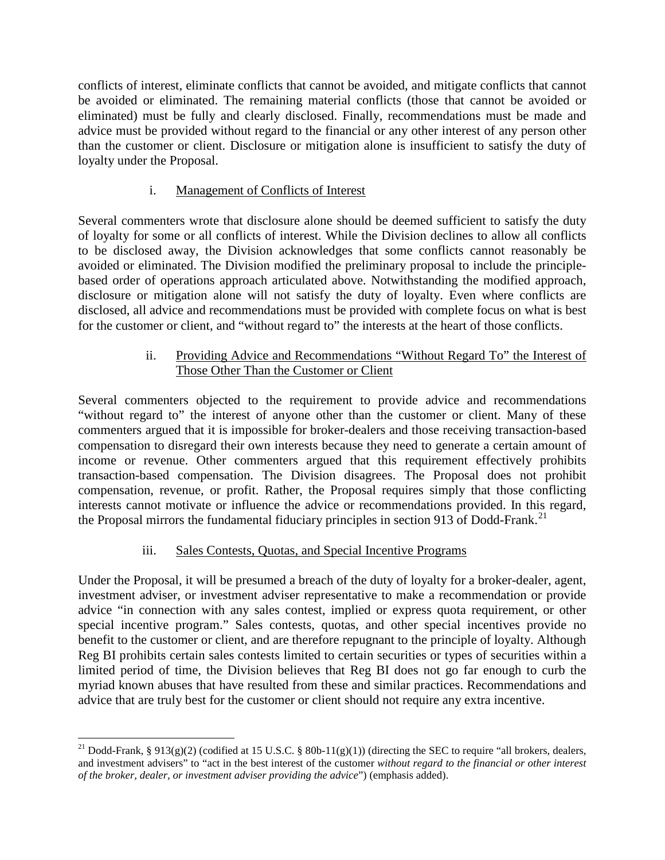conflicts of interest, eliminate conflicts that cannot be avoided, and mitigate conflicts that cannot be avoided or eliminated. The remaining material conflicts (those that cannot be avoided or eliminated) must be fully and clearly disclosed. Finally, recommendations must be made and advice must be provided without regard to the financial or any other interest of any person other than the customer or client. Disclosure or mitigation alone is insufficient to satisfy the duty of loyalty under the Proposal.

# i. Management of Conflicts of Interest

Several commenters wrote that disclosure alone should be deemed sufficient to satisfy the duty of loyalty for some or all conflicts of interest. While the Division declines to allow all conflicts to be disclosed away, the Division acknowledges that some conflicts cannot reasonably be avoided or eliminated. The Division modified the preliminary proposal to include the principlebased order of operations approach articulated above. Notwithstanding the modified approach, disclosure or mitigation alone will not satisfy the duty of loyalty. Even where conflicts are disclosed, all advice and recommendations must be provided with complete focus on what is best for the customer or client, and "without regard to" the interests at the heart of those conflicts.

## ii. Providing Advice and Recommendations "Without Regard To" the Interest of Those Other Than the Customer or Client

Several commenters objected to the requirement to provide advice and recommendations "without regard to" the interest of anyone other than the customer or client. Many of these commenters argued that it is impossible for broker-dealers and those receiving transaction-based compensation to disregard their own interests because they need to generate a certain amount of income or revenue. Other commenters argued that this requirement effectively prohibits transaction-based compensation. The Division disagrees. The Proposal does not prohibit compensation, revenue, or profit. Rather, the Proposal requires simply that those conflicting interests cannot motivate or influence the advice or recommendations provided. In this regard, the Proposal mirrors the fundamental fiduciary principles in section 913 of Dodd-Frank.<sup>[21](#page-8-0)</sup>

## iii. Sales Contests, Quotas, and Special Incentive Programs

Under the Proposal, it will be presumed a breach of the duty of loyalty for a broker-dealer, agent, investment adviser, or investment adviser representative to make a recommendation or provide advice "in connection with any sales contest, implied or express quota requirement, or other special incentive program." Sales contests, quotas, and other special incentives provide no benefit to the customer or client, and are therefore repugnant to the principle of loyalty. Although Reg BI prohibits certain sales contests limited to certain securities or types of securities within a limited period of time, the Division believes that Reg BI does not go far enough to curb the myriad known abuses that have resulted from these and similar practices. Recommendations and advice that are truly best for the customer or client should not require any extra incentive.

<span id="page-8-0"></span><sup>&</sup>lt;sup>21</sup> Dodd-Frank, § 913(g)(2) (codified at 15 U.S.C. § 80b-11(g)(1)) (directing the SEC to require "all brokers, dealers, and investment advisers" to "act in the best interest of the customer *without regard to the financial or other interest of the broker, dealer, or investment adviser providing the advice*") (emphasis added).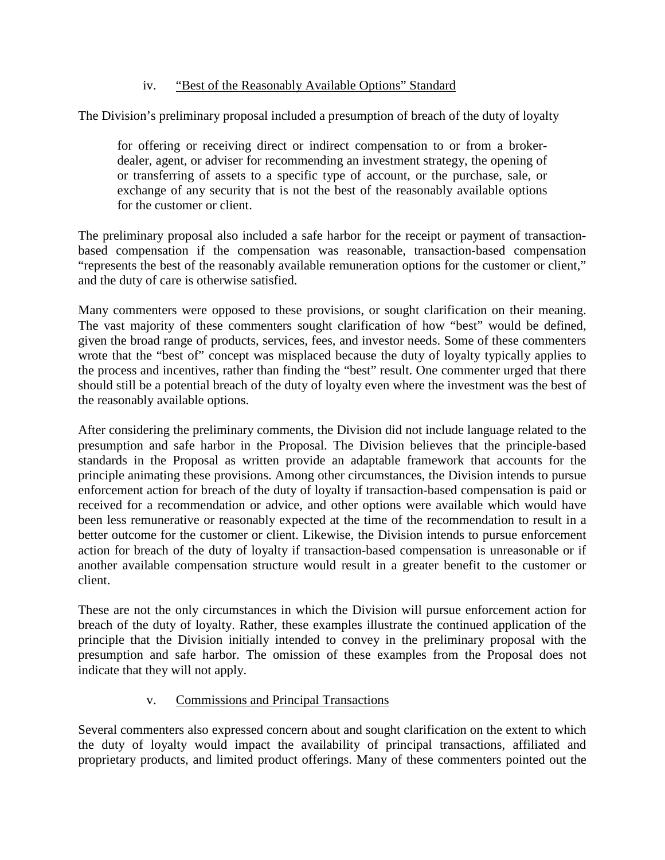### iv. "Best of the Reasonably Available Options" Standard

The Division's preliminary proposal included a presumption of breach of the duty of loyalty

for offering or receiving direct or indirect compensation to or from a brokerdealer, agent, or adviser for recommending an investment strategy, the opening of or transferring of assets to a specific type of account, or the purchase, sale, or exchange of any security that is not the best of the reasonably available options for the customer or client.

The preliminary proposal also included a safe harbor for the receipt or payment of transactionbased compensation if the compensation was reasonable, transaction-based compensation "represents the best of the reasonably available remuneration options for the customer or client," and the duty of care is otherwise satisfied.

Many commenters were opposed to these provisions, or sought clarification on their meaning. The vast majority of these commenters sought clarification of how "best" would be defined, given the broad range of products, services, fees, and investor needs. Some of these commenters wrote that the "best of" concept was misplaced because the duty of loyalty typically applies to the process and incentives, rather than finding the "best" result. One commenter urged that there should still be a potential breach of the duty of loyalty even where the investment was the best of the reasonably available options.

After considering the preliminary comments, the Division did not include language related to the presumption and safe harbor in the Proposal. The Division believes that the principle-based standards in the Proposal as written provide an adaptable framework that accounts for the principle animating these provisions. Among other circumstances, the Division intends to pursue enforcement action for breach of the duty of loyalty if transaction-based compensation is paid or received for a recommendation or advice, and other options were available which would have been less remunerative or reasonably expected at the time of the recommendation to result in a better outcome for the customer or client. Likewise, the Division intends to pursue enforcement action for breach of the duty of loyalty if transaction-based compensation is unreasonable or if another available compensation structure would result in a greater benefit to the customer or client.

These are not the only circumstances in which the Division will pursue enforcement action for breach of the duty of loyalty. Rather, these examples illustrate the continued application of the principle that the Division initially intended to convey in the preliminary proposal with the presumption and safe harbor. The omission of these examples from the Proposal does not indicate that they will not apply.

#### v. Commissions and Principal Transactions

Several commenters also expressed concern about and sought clarification on the extent to which the duty of loyalty would impact the availability of principal transactions, affiliated and proprietary products, and limited product offerings. Many of these commenters pointed out the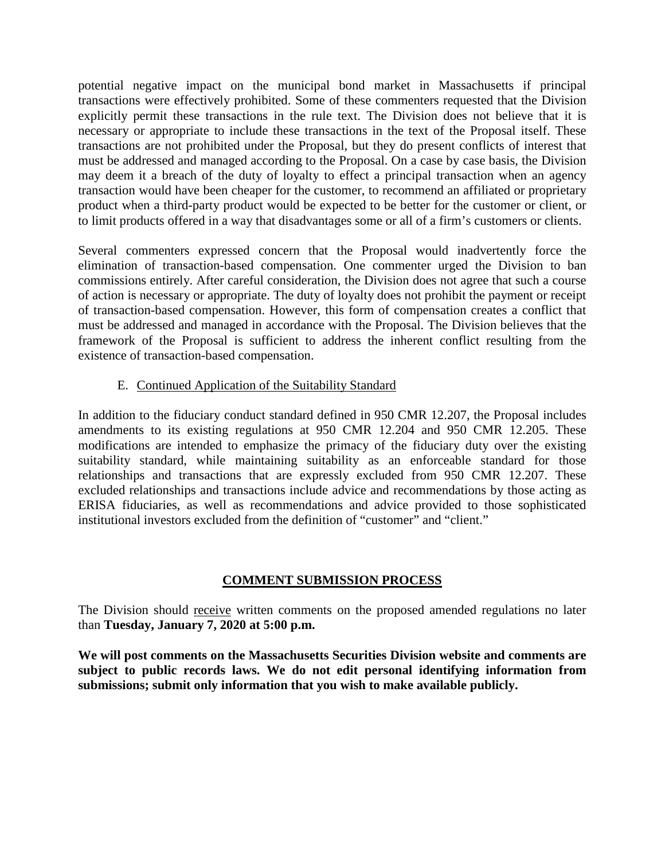potential negative impact on the municipal bond market in Massachusetts if principal transactions were effectively prohibited. Some of these commenters requested that the Division explicitly permit these transactions in the rule text. The Division does not believe that it is necessary or appropriate to include these transactions in the text of the Proposal itself. These transactions are not prohibited under the Proposal, but they do present conflicts of interest that must be addressed and managed according to the Proposal. On a case by case basis, the Division may deem it a breach of the duty of loyalty to effect a principal transaction when an agency transaction would have been cheaper for the customer, to recommend an affiliated or proprietary product when a third-party product would be expected to be better for the customer or client, or to limit products offered in a way that disadvantages some or all of a firm's customers or clients.

Several commenters expressed concern that the Proposal would inadvertently force the elimination of transaction-based compensation. One commenter urged the Division to ban commissions entirely. After careful consideration, the Division does not agree that such a course of action is necessary or appropriate. The duty of loyalty does not prohibit the payment or receipt of transaction-based compensation. However, this form of compensation creates a conflict that must be addressed and managed in accordance with the Proposal. The Division believes that the framework of the Proposal is sufficient to address the inherent conflict resulting from the existence of transaction-based compensation.

## E. Continued Application of the Suitability Standard

In addition to the fiduciary conduct standard defined in 950 CMR 12.207, the Proposal includes amendments to its existing regulations at 950 CMR 12.204 and 950 CMR 12.205. These modifications are intended to emphasize the primacy of the fiduciary duty over the existing suitability standard, while maintaining suitability as an enforceable standard for those relationships and transactions that are expressly excluded from 950 CMR 12.207. These excluded relationships and transactions include advice and recommendations by those acting as ERISA fiduciaries, as well as recommendations and advice provided to those sophisticated institutional investors excluded from the definition of "customer" and "client."

## **COMMENT SUBMISSION PROCESS**

The Division should receive written comments on the proposed amended regulations no later than **Tuesday, January 7, 2020 at 5:00 p.m.** 

**We will post comments on the Massachusetts Securities Division website and comments are subject to public records laws. We do not edit personal identifying information from submissions; submit only information that you wish to make available publicly.**